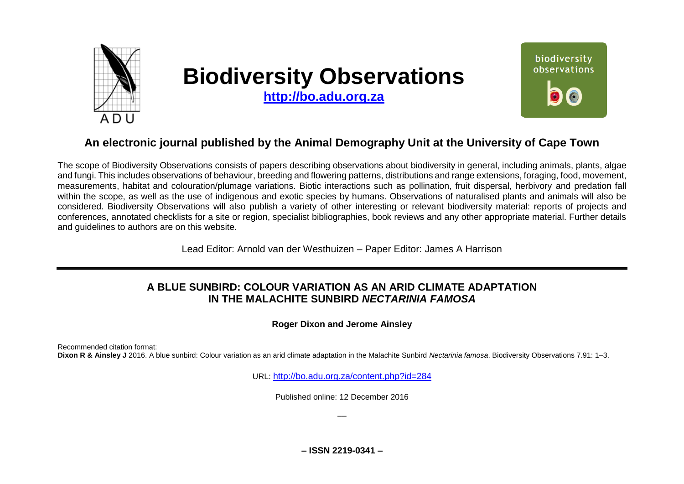

# **Biodiversity Observations**

**[http://bo.adu.org.za](http://bo.adu.org.za/)**



## **An electronic journal published by the Animal Demography Unit at the University of Cape Town**

The scope of Biodiversity Observations consists of papers describing observations about biodiversity in general, including animals, plants, algae and fungi. This includes observations of behaviour, breeding and flowering patterns, distributions and range extensions, foraging, food, movement, measurements, habitat and colouration/plumage variations. Biotic interactions such as pollination, fruit dispersal, herbivory and predation fall within the scope, as well as the use of indigenous and exotic species by humans. Observations of naturalised plants and animals will also be considered. Biodiversity Observations will also publish a variety of other interesting or relevant biodiversity material: reports of projects and conferences, annotated checklists for a site or region, specialist bibliographies, book reviews and any other appropriate material. Further details and guidelines to authors are on this website.

Lead Editor: Arnold van der Westhuizen – Paper Editor: James A Harrison

### **A BLUE SUNBIRD: COLOUR VARIATION AS AN ARID CLIMATE ADAPTATION IN THE MALACHITE SUNBIRD** *NECTARINIA FAMOSA*

**Roger Dixon and Jerome Ainsley**

Recommended citation format:

**Dixon R & Ainsley J** 2016. A blue sunbird: Colour variation as an arid climate adaptation in the Malachite Sunbird *Nectarinia famosa*. Biodiversity Observations 7.91: 1–3.

URL: <http://bo.adu.org.za/content.php?id=284>

Published online: 12 December 2016

––

**– ISSN 2219-0341 –**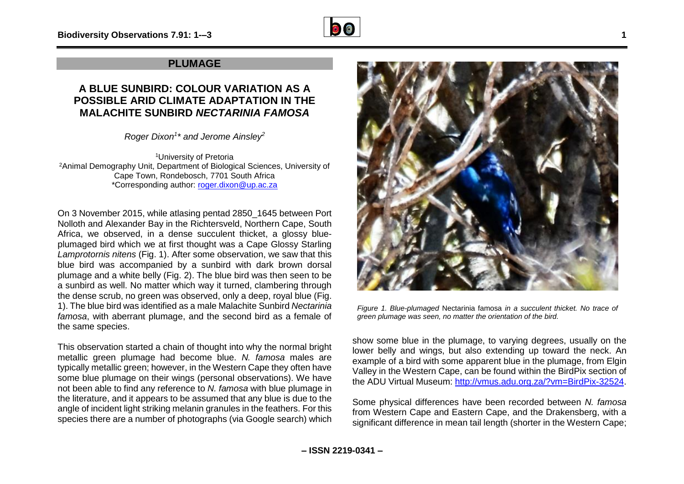

#### **PLUMAGE**

#### **A BLUE SUNBIRD: COLOUR VARIATION AS A POSSIBLE ARID CLIMATE ADAPTATION IN THE MALACHITE SUNBIRD** *NECTARINIA FAMOSA*

*Roger Dixon<sup>1</sup> \* and Jerome Ainsley<sup>2</sup>*

<sup>1</sup>University of Pretoria <sup>2</sup>Animal Demography Unit, Department of Biological Sciences, University of Cape Town, Rondebosch, 7701 South Africa \*Corresponding author: [roger.dixon@up.ac.za](mailto:roger.dixon@up.ac.za)

On 3 November 2015, while atlasing pentad 2850\_1645 between Port Nolloth and Alexander Bay in the Richtersveld, Northern Cape, South Africa, we observed, in a dense succulent thicket, a glossy blueplumaged bird which we at first thought was a Cape Glossy Starling *Lamprotornis nitens* (Fig. 1). After some observation, we saw that this blue bird was accompanied by a sunbird with dark brown dorsal plumage and a white belly (Fig. 2). The blue bird was then seen to be a sunbird as well. No matter which way it turned, clambering through the dense scrub, no green was observed, only a deep, royal blue (Fig. 1). The blue bird was identified as a male Malachite Sunbird *Nectarinia famosa*, with aberrant plumage, and the second bird as a female of the same species.

This observation started a chain of thought into why the normal bright metallic green plumage had become blue. *N. famosa* males are typically metallic green; however, in the Western Cape they often have some blue plumage on their wings (personal observations). We have not been able to find any reference to *N. famosa* with blue plumage in the literature, and it appears to be assumed that any blue is due to the angle of incident light striking melanin granules in the feathers. For this species there are a number of photographs (via Google search) which



*Figure 1. Blue-plumaged* Nectarinia famosa *in a succulent thicket. No trace of green plumage was seen, no matter the orientation of the bird.*

show some blue in the plumage, to varying degrees, usually on the lower belly and wings, but also extending up toward the neck. An example of a bird with some apparent blue in the plumage, from Elgin Valley in the Western Cape, can be found within the BirdPix section of the ADU Virtual Museum: [http://vmus.adu.org.za/?vm=BirdPix-32524.](http://vmus.adu.org.za/?vm=BirdPix-32524)

Some physical differences have been recorded between *N. famosa* from Western Cape and Eastern Cape, and the Drakensberg, with a significant difference in mean tail length (shorter in the Western Cape;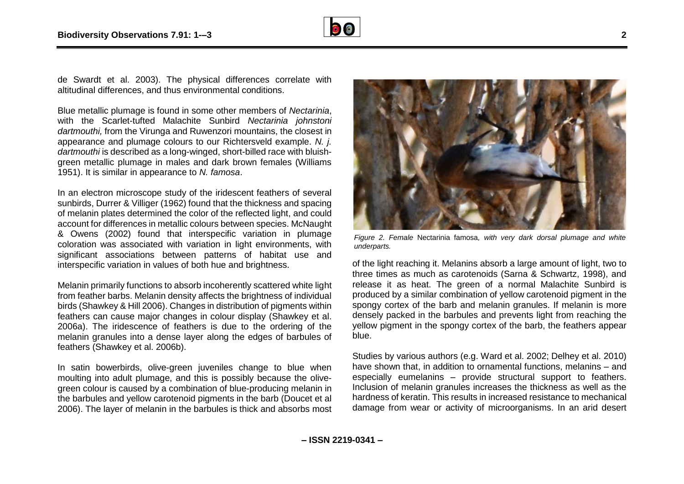

de Swardt et al. 2003). The physical differences correlate with altitudinal differences, and thus environmental conditions.

Blue metallic plumage is found in some other members of *Nectarinia*, with the Scarlet-tufted Malachite Sunbird *Nectarinia johnstoni dartmouthi,* from the Virunga and Ruwenzori mountains, the closest in appearance and plumage colours to our Richtersveld example. *N. j. dartmouthi* is described as a long-winged, short-billed race with bluishgreen metallic plumage in males and dark brown females (Williams 1951). It is similar in appearance to *N. famosa*.

In an electron microscope study of the iridescent feathers of several sunbirds, Durrer & Villiger (1962) found that the thickness and spacing of melanin plates determined the color of the reflected light, and could account for differences in metallic colours between species. McNaught & Owens (2002) found that interspecific variation in plumage coloration was associated with variation in light environments, with significant associations between patterns of habitat use and interspecific variation in values of both hue and brightness.

Melanin primarily functions to absorb incoherently scattered white light from feather barbs. Melanin density affects the brightness of individual birds (Shawkey & Hill 2006). Changes in distribution of pigments within feathers can cause major changes in colour display (Shawkey et al. 2006a). The iridescence of feathers is due to the ordering of the melanin granules into a dense layer along the edges of barbules of feathers (Shawkey et al. 2006b).

In satin bowerbirds, olive-green juveniles change to blue when moulting into adult plumage, and this is possibly because the olivegreen colour is caused by a combination of blue-producing melanin in the barbules and yellow carotenoid pigments in the barb (Doucet et al 2006). The layer of melanin in the barbules is thick and absorbs most



*Figure 2. Female* Nectarinia famosa*, with very dark dorsal plumage and white underparts.*

of the light reaching it. Melanins absorb a large amount of light, two to three times as much as carotenoids (Sarna & Schwartz, 1998), and release it as heat. The green of a normal Malachite Sunbird is produced by a similar combination of yellow carotenoid pigment in the spongy cortex of the barb and melanin granules. If melanin is more densely packed in the barbules and prevents light from reaching the yellow pigment in the spongy cortex of the barb, the feathers appear blue.

Studies by various authors (e.g. Ward et al. 2002; Delhey et al. 2010) have shown that, in addition to ornamental functions, melanins – and especially eumelanins – provide structural support to feathers. Inclusion of melanin granules increases the thickness as well as the hardness of keratin. This results in increased resistance to mechanical damage from wear or activity of microorganisms. In an arid desert